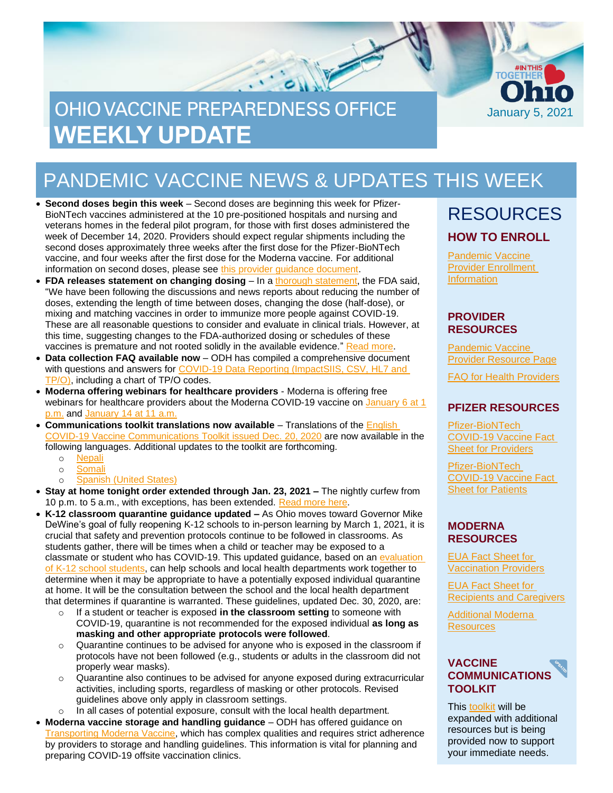# OHIO VACCINE PREPAREDNESS OFFICE **WEEKLY UPDATE**



- **Second doses begin this week** Second doses are beginning this week for Pfizer-BioNTech vaccines administered at the 10 pre-positioned hospitals and nursing and veterans homes in the federal pilot program, for those with first doses administered the week of December 14, 2020. Providers should expect regular shipments including the second doses approximately three weeks after the first dose for the Pfizer-BioNTech vaccine, and four weeks after the first dose for the Moderna vaccine. For additional information on second doses, please se[e this provider guidance document.](https://odh.ohio.gov/static/covid19/vaccine-providers/guidance-for-providers-on-covid-19-vaccine-second-doses.pdf)
- **FDA releases statement on changing dosing**  In a [thorough statement,](https://www.fda.gov/news-events/press-announcements/fda-statement-following-authorized-dosing-schedules-covid-19-vaccines) the FDA said, "We have been following the discussions and news reports about reducing the number of doses, extending the length of time between doses, changing the dose (half-dose), or mixing and matching vaccines in order to immunize more people against COVID-19. These are all reasonable questions to consider and evaluate in clinical trials. However, at this time, suggesting changes to the FDA-authorized dosing or schedules of these vaccines is premature and not rooted solidly in the available evidence." [Read more.](https://www.fda.gov/news-events/press-announcements/fda-statement-following-authorized-dosing-schedules-covid-19-vaccines)
- **Data collection FAQ available now** ODH has compiled a comprehensive document with questions and answers for COVID-19 Data Reporting (ImpactSIIS, CSV, HL7 and [TP/O\),](https://odh.ohio.gov/static/covid19/vaccine-providers/faq_data_reporting.pdf) including a chart of TP/O codes.
- **Moderna offering webinars for healthcare providers** Moderna is offering free webinars for healthcare providers about the Moderna COVID-19 vaccine on [January 6](https://ashfieldmeetings.zoom.us/webinar/register/WN__MnUJSaeTUqnaPPEwlHUiA) at 1 [p.m.](https://ashfieldmeetings.zoom.us/webinar/register/WN__MnUJSaeTUqnaPPEwlHUiA) and [January 14](file:///C:/Users/10193092/AppData/Local/Microsoft/Windows/INetCache/Content.Outlook/2TL18C1W/•%09https:/ashfieldmeetings.zoom.us/webinar/register/WN_2pN_0snbTjCCbP7npLdUjA) at 11 a.m.
- **Communications toolkit translations now available** Translations of the [English](https://odh.ohio.gov/static/covid19/vaccine-providers/covid-19-vaccine-communications-toolkit-preliminary.pdf)  COVID-19 [Vaccine Communications Toolkit issued Dec. 20, 2020](https://odh.ohio.gov/static/covid19/vaccine-providers/covid-19-vaccine-communications-toolkit-preliminary.pdf) are now available in the following languages. Additional updates to the toolkit are forthcoming.
	- o [Nepali](https://odh.ohio.gov/static/covid19/vaccine-providers/covid-19-vaccine-communications-toolkit-preliminary-ne.pdf)
	- o [Somali](https://odh.ohio.gov/static/covid19/vaccine-providers/covid-19-vaccine-communications-toolkit-preliminary-so.pdf)
	- o **[Spanish \(United States\)](https://odh.ohio.gov/static/covid19/vaccine-providers/covid-19-vaccine-communications-toolkit-preliminary-es.pdf)**
- **Stay at home tonight order extended through Jan. 23, 2021 –** The nightly curfew from 10 p.m. to 5 a.m., with exceptions, has been extended. [Read more here.](https://coronavirus.ohio.gov/wps/portal/gov/covid-19/resources/general-resources/stay-at-home-tonight-fact-sheet)
- **K-12 classroom quarantine guidance updated –** As Ohio moves toward Governor Mike DeWine's goal of fully reopening K-12 schools to in-person learning by March 1, 2021, it is crucial that safety and prevention protocols continue to be followed in classrooms. As students gather, there will be times when a child or teacher may be exposed to a classmate or student who has COVID-19. This updated guidance, based on an [evaluation](https://coronavirus.ohio.gov/static/responsible/schools/OSCE_evaluation.pdf)  [of K-12 school students,](https://coronavirus.ohio.gov/static/responsible/schools/OSCE_evaluation.pdf) can help schools and local health departments work together to determine when it may be appropriate to have a potentially exposed individual quarantine at home. It will be the consultation between the school and the local health department that determines if quarantine is warranted. These guidelines, updated Dec. 30, 2020, are:
	- o If a student or teacher is exposed **in the classroom setting** to someone with COVID-19, quarantine is not recommended for the exposed individual **as long as masking and other appropriate protocols were followed**.
	- o Quarantine continues to be advised for anyone who is exposed in the classroom if protocols have not been followed (e.g., students or adults in the classroom did not properly wear masks).
	- o Quarantine also continues to be advised for anyone exposed during extracurricular activities, including sports, regardless of masking or other protocols. Revised guidelines above only apply in classroom settings.
	- o In all cases of potential exposure, consult with the local health department.
- **Moderna vaccine storage and handling guidance** ODH has offered guidance on [Transporting Moderna Vaccine,](https://odh.ohio.gov/static/covid19/vaccine-providers/transporting_moderna_vaccine.pdf) which has complex qualities and requires strict adherence by providers to storage and handling guidelines. This information is vital for planning and preparing COVID-19 offsite vaccination clinics.

### RESOURCES **HOW TO ENROLL**

January 5, 2021

**TOGËTI** 

[Pandemic Vaccine](https://odh.ohio.gov/wps/portal/gov/odh/know-our-programs/immunization/pandemic-vaccine-provider/ohio-covid-19-provider-enrollment)  [Provider Enrollment](https://odh.ohio.gov/wps/portal/gov/odh/know-our-programs/immunization/pandemic-vaccine-provider/ohio-covid-19-provider-enrollment)  **[Information](https://odh.ohio.gov/wps/portal/gov/odh/know-our-programs/immunization/pandemic-vaccine-provider/ohio-covid-19-provider-enrollment)** 

#### **PROVIDER RESOURCES**

[Pandemic](https://odh.ohio.gov/wps/portal/gov/odh/know-our-programs/Immunization/pandemic-vaccine-provider) Vaccine [Provider Resource Page](https://odh.ohio.gov/wps/portal/gov/odh/know-our-programs/Immunization/pandemic-vaccine-provider)

FAQ for Health [Providers](https://coronavirus.ohio.gov/static/docs/Enrollment-Information-FAQ.pdf)

#### **PFIZER RESOURCES**

[Pfizer-BioNTech](https://www.fda.gov/media/144413/download)  [COVID-19 Vaccine Fact](https://www.fda.gov/media/144413/download)  [Sheet for Providers](https://www.fda.gov/media/144413/download)

[Pfizer-BioNTech](https://odh.ohio.gov/wps/portal/gov/odh/know-our-programs/covid-19-vaccine-provider/manufacturer-specific-information/manufacturer-specific-information/!ut/p/z1/jZDdCoJAEEafxQdYZo1c8tKExJ81IkXbm1g2tYVcZVMvevrMO6HSuZvhHJjvAwY5MMUHWfFONoo_xv3CyDW2Pcc0Qxx7JLLx6UiTwMTUxy6BbA7sEssZAZJ64eHsJ1sL2Bof_xgHL_nBEjAm2Gjq0gpYy7s7kqpsIBfNIG_ItNHAhZCqQK3-XAoNec1VX3LR9brQ6NkWQpZSTJqup1rWIBmw-WNfipmAP8nbOs1f0d72K8N4A42Ic8o!/%C2%A0https:/www.fda.gov/media/144414/download)  [COVID-19 Vaccine Fact](https://odh.ohio.gov/wps/portal/gov/odh/know-our-programs/covid-19-vaccine-provider/manufacturer-specific-information/manufacturer-specific-information/!ut/p/z1/jZDdCoJAEEafxQdYZo1c8tKExJ81IkXbm1g2tYVcZVMvevrMO6HSuZvhHJjvAwY5MMUHWfFONoo_xv3CyDW2Pcc0Qxx7JLLx6UiTwMTUxy6BbA7sEssZAZJ64eHsJ1sL2Bof_xgHL_nBEjAm2Gjq0gpYy7s7kqpsIBfNIG_ItNHAhZCqQK3-XAoNec1VX3LR9brQ6NkWQpZSTJqup1rWIBmw-WNfipmAP8nbOs1f0d72K8N4A42Ic8o!/%C2%A0https:/www.fda.gov/media/144414/download)  [Sheet for Patients](https://odh.ohio.gov/wps/portal/gov/odh/know-our-programs/covid-19-vaccine-provider/manufacturer-specific-information/manufacturer-specific-information/!ut/p/z1/jZDdCoJAEEafxQdYZo1c8tKExJ81IkXbm1g2tYVcZVMvevrMO6HSuZvhHJjvAwY5MMUHWfFONoo_xv3CyDW2Pcc0Qxx7JLLx6UiTwMTUxy6BbA7sEssZAZJ64eHsJ1sL2Bof_xgHL_nBEjAm2Gjq0gpYy7s7kqpsIBfNIG_ItNHAhZCqQK3-XAoNec1VX3LR9brQ6NkWQpZSTJqup1rWIBmw-WNfipmAP8nbOs1f0d72K8N4A42Ic8o!/%C2%A0https:/www.fda.gov/media/144414/download)

#### **MODERNA RESOURCES**

[EUA Fact Sheet f](https://www.modernatx.com/covid19vaccine-eua/eua-fact-sheet-providers.pdf)[or](https://www.modernatx.com/covid19vaccine-eua/eua-fact-sheet-providers.pdf)  [Vaccination Providers](https://www.modernatx.com/covid19vaccine-eua/eua-fact-sheet-providers.pdf)

[EUA Fact Sheet for](https://www.modernatx.com/covid19vaccine-eua/eua-fact-sheet-recipients.pdf)  [Recipients and Caregivers](https://www.modernatx.com/covid19vaccine-eua/eua-fact-sheet-recipients.pdf)

[Additional Moderna](https://www.modernatx.com/covid19vaccine-eua/)  **[Resources](https://www.modernatx.com/covid19vaccine-eua/)** 

#### **VACCINE COMMUNICATIONS TOOLKIT**

This [toolkit](https://odh.ohio.gov/static/covid19/vaccine-providers/communications_toolkit.pdf) will be expanded with additional resources but is being provided now to support your immediate needs.